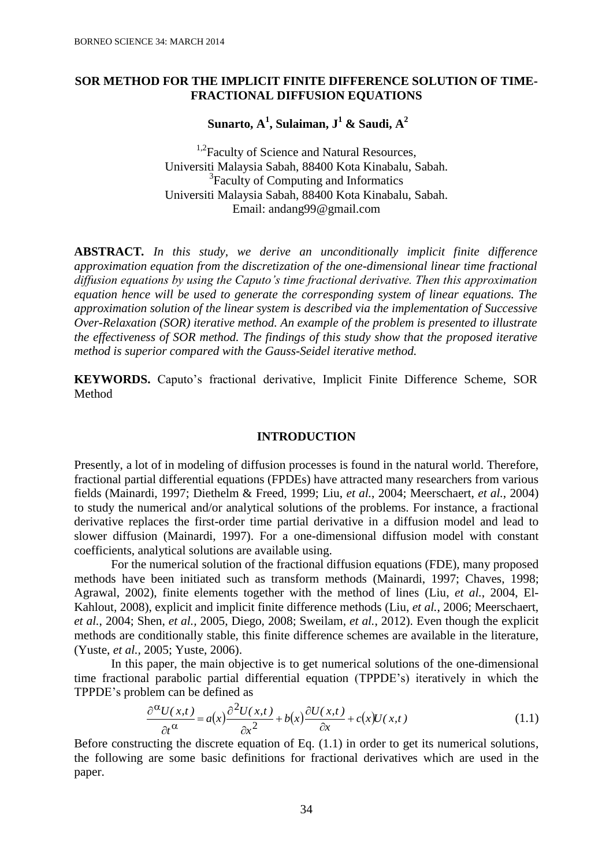# **SOR METHOD FOR THE IMPLICIT FINITE DIFFERENCE SOLUTION OF TIME-FRACTIONAL DIFFUSION EQUATIONS**

**Sunarto, A<sup>1</sup> , Sulaiman, J<sup>1</sup> & Saudi, A<sup>2</sup>**

<sup>1,2</sup> Faculty of Science and Natural Resources, Universiti Malaysia Sabah, 88400 Kota Kinabalu, Sabah. <sup>3</sup> Faculty of Computing and Informatics Universiti Malaysia Sabah, 88400 Kota Kinabalu, Sabah. Email: andang99@gmail.com

**ABSTRACT***. In this study, we derive an unconditionally implicit finite difference approximation equation from the discretization of the one-dimensional linear time fractional diffusion equations by using the Caputo's time fractional derivative. Then this approximation equation hence will be used to generate the corresponding system of linear equations. The approximation solution of the linear system is described via the implementation of Successive Over-Relaxation (SOR) iterative method. An example of the problem is presented to illustrate the effectiveness of SOR method. The findings of this study show that the proposed iterative method is superior compared with the Gauss-Seidel iterative method.*

**KEYWORDS.** Caputo's fractional derivative, Implicit Finite Difference Scheme, SOR Method

## **INTRODUCTION**

Presently, a lot of in modeling of diffusion processes is found in the natural world. Therefore, fractional partial differential equations (FPDEs) have attracted many researchers from various fields (Mainardi, 1997; Diethelm & Freed, 1999; Liu, *et al.*, 2004; Meerschaert, *et al.*, 2004) to study the numerical and/or analytical solutions of the problems. For instance, a fractional derivative replaces the first-order time partial derivative in a diffusion model and lead to slower diffusion (Mainardi, 1997). For a one-dimensional diffusion model with constant coefficients, analytical solutions are available using.

For the numerical solution of the fractional diffusion equations (FDE), many proposed methods have been initiated such as transform methods (Mainardi, 1997; Chaves, 1998; Agrawal, 2002), finite elements together with the method of lines (Liu, *et al.*, 2004, El-Kahlout, 2008), explicit and implicit finite difference methods (Liu, *et al.*, 2006; Meerschaert, *et al.*, 2004; Shen, *et al.,* 2005, Diego, 2008; Sweilam, *et al.*, 2012). Even though the explicit methods are conditionally stable, this finite difference schemes are available in the literature, (Yuste, *et al.,* 2005; Yuste, 2006).

In this paper, the main objective is to get numerical solutions of the one-dimensional time fractional parabolic partial differential equation (TPPDE's) iteratively in which the TPPDE's problem can be defined as

$$
\frac{\partial^{\alpha} U(x,t)}{\partial t^{\alpha}} = a(x) \frac{\partial^2 U(x,t)}{\partial x^2} + b(x) \frac{\partial U(x,t)}{\partial x} + c(x)U(x,t)
$$
\n(1.1)

Before constructing the discrete equation of Eq. (1.1) in order to get its numerical solutions, the following are some basic definitions for fractional derivatives which are used in the paper.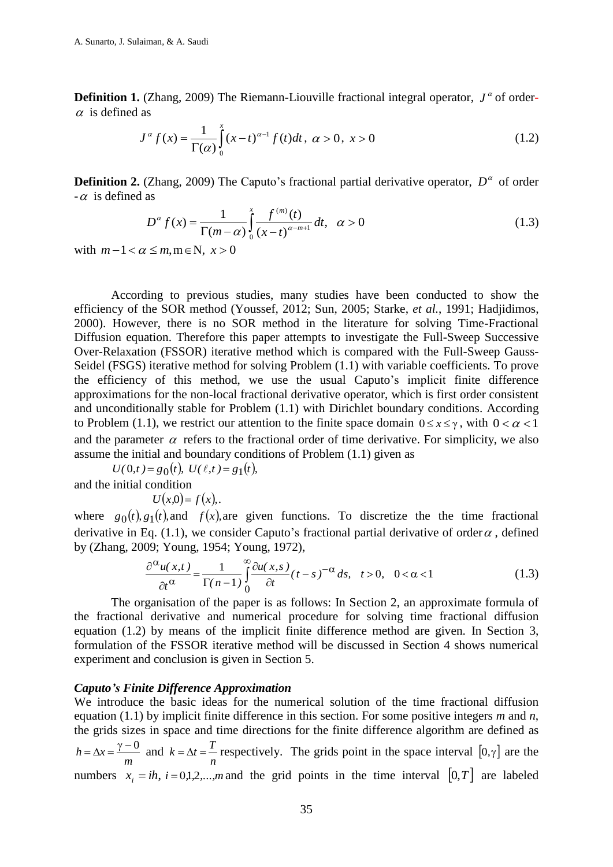**Definition 1.** (Zhang, 2009) The Riemann-Liouville fractional integral operator,  $J^{\alpha}$  of order- $\alpha$  is defined as

$$
J^{\alpha} f(x) = \frac{1}{\Gamma(\alpha)} \int_{0}^{x} (x - t)^{\alpha - 1} f(t) dt, \ \alpha > 0, \ x > 0
$$
 (1.2)

**Definition 2.** (Zhang, 2009) The Caputo's fractional partial derivative operator,  $D^{\alpha}$  of order  $-\alpha$  is defined as

$$
D^{\alpha} f(x) = \frac{1}{\Gamma(m-\alpha)} \int_{0}^{x} \frac{f^{(m)}(t)}{(x-t)^{\alpha-m+1}} dt, \quad \alpha > 0
$$
 (1.3)

with  $m-1 < \alpha \le m, m \in \mathbb{N}, x > 0$ 

According to previous studies, many studies have been conducted to show the efficiency of the SOR method (Youssef, 2012; Sun, 2005; Starke, *et al.*, 1991; Hadjidimos, 2000). However, there is no SOR method in the literature for solving Time-Fractional Diffusion equation. Therefore this paper attempts to investigate the Full-Sweep Successive Over-Relaxation (FSSOR) iterative method which is compared with the Full-Sweep Gauss-Seidel (FSGS) iterative method for solving Problem (1.1) with variable coefficients. To prove the efficiency of this method, we use the usual Caputo's implicit finite difference approximations for the non-local fractional derivative operator, which is first order consistent and unconditionally stable for Problem (1.1) with Dirichlet boundary conditions. According to Problem (1.1), we restrict our attention to the finite space domain  $0 \le x \le \gamma$ , with  $0 < \alpha < 1$ and the parameter  $\alpha$  refers to the fractional order of time derivative. For simplicity, we also assume the initial and boundary conditions of Problem (1.1) given as

 $U(0,t) = g_0(t), U(\ell,t) = g_1(t),$ 

and the initial condition

 $U(x,0) = f(x)$ .

where  $g_0(t)$ ,  $g_1(t)$ , and  $f(x)$ , are given functions. To discretize the time fractional derivative in Eq. (1.1), we consider Caputo's fractional partial derivative of order  $\alpha$ , defined by (Zhang, 2009; Young, 1954; Young, 1972),

$$
39; \text{Young, } 1954; \text{Young, } 1972),
$$
\n
$$
\frac{\partial^{\alpha} u(x,t)}{\partial t^{\alpha}} = \frac{1}{\Gamma(n-1)} \int_{0}^{\infty} \frac{\partial u(x,s)}{\partial t} (t-s)^{-\alpha} ds, \quad t > 0, \quad 0 < \alpha < 1
$$
\n
$$
(1.3)
$$

The organisation of the paper is as follows: In Section 2, an approximate formula of the fractional derivative and numerical procedure for solving time fractional diffusion equation (1.2) by means of the implicit finite difference method are given. In Section 3, formulation of the FSSOR iterative method will be discussed in Section 4 shows numerical experiment and conclusion is given in Section 5.

## *Caputo's Finite Difference Approximation*

We introduce the basic ideas for the numerical solution of the time fractional diffusion equation (1.1) by implicit finite difference in this section. For some positive integers *m* and *n*, the grids sizes in space and time directions for the finite difference algorithm are defined as *m*  $h = \Delta x = \frac{\gamma - 0}{\gamma}$  and *n*  $k = \Delta t = \frac{T}{t}$  respectively. The grids point in the space interval [0,  $\gamma$ ] are the numbers  $x_i = ih$ ,  $i = 0,1,2,...,m$  and the grid points in the time interval  $[0,T]$  are labeled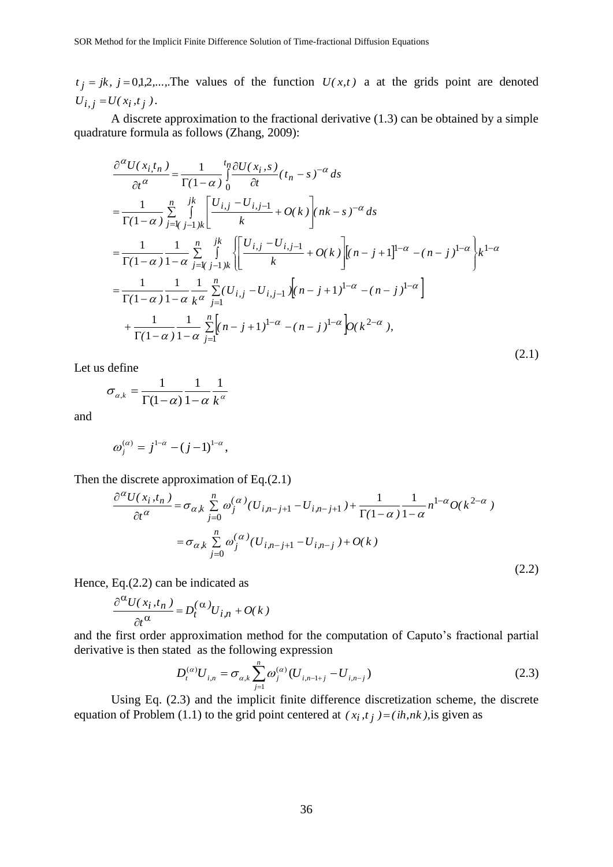$j = jk$ ,  $j = 0,1,2,...$ . The values of the function  $U(x,t)$  a at the grids point are denoted  $U_{i,j} = U(x_i, t_j).$ 

A discrete approximation to the fractional derivative (1.3) can be obtained by a simple quadrature formula as follows (Zhang, 2009):

$$
t_j = jk, j = 0.12....
$$
 The values of the function  $U(x,t)$  a at the grids point are denoted  
\n $U_{i,j} = U(x_i, t_j)$ .  
\nA discrete approximation to the fractional derivative (1.3) can be obtained by a simple  
\nquadrature formula as follows (Zhang, 2009):  
\n
$$
\frac{\partial^{\alpha}U(x_i, t_n)}{\partial t^{\alpha}} = \frac{1}{\Gamma(1-\alpha)} \int_{0}^{\alpha} \frac{\partial U(x_i, s)}{\partial t} (t_n - s)^{-\alpha} ds
$$
\n
$$
= \frac{1}{\Gamma(1-\alpha)} \int_{0}^{\alpha} \frac{1}{\int_{0}^{k} [U_{i,j} - U_{i,j-1} + O(k)]} [nk - s]^{-\alpha} ds
$$
\n
$$
= \frac{1}{\Gamma(1-\alpha)} \int_{0}^{\alpha} \frac{1}{\int_{-1}^{k} [U_{i,j} - U_{i,j-1} + O(k)]} [nk - s]^{-\alpha} ds
$$
\n
$$
= \frac{1}{\Gamma(1-\alpha)} \frac{1}{1-\alpha} \sum_{j=k}^{\alpha} \int_{j-j,k}^{R} \left[ \frac{[U_{i,j} - U_{i,j-1} + O(k)]}{k} [n - j + 1]^{1-\alpha} - (n - j)^{1-\alpha} \right]
$$
\n
$$
+ \frac{1}{\Gamma(1-\alpha)} \frac{1}{1-\alpha} \sum_{j=k}^{\alpha} [U_{i,j} - U_{i,j-1}] \sqrt{[n-j+1]^{1-\alpha}} - (n - j)^{1-\alpha} \right]
$$
\nLet us define  
\n
$$
\sigma_{\alpha,k} = \frac{1}{\Gamma(1-\alpha)} \frac{1}{1-\alpha} \sum_{j=1}^{n} [n - j + 1]^{j-\alpha} - (n - j)^{1-\alpha} \rho(k^{2-\alpha}),
$$
\n[Let us define  
\n
$$
\sigma_{\alpha,k} = \frac{1}{\Gamma(1-\alpha)} \frac{1}{1-\alpha} \sum_{j=1}^{n} \int_{k}^{\alpha} (U_{i,j-j+1} - U_{i,j-j+1}) + \frac{1}{\Gamma(1-\alpha)} \frac{1}{1-\alpha} n^{1-\alpha} O(k^{2-\alpha})
$$
\n
$$
= \sigma_{\alpha,k} \sum_{j=0}^{\alpha} O_j^{(\alpha)} (U_{i,j
$$

Let us define

$$
\sigma_{\alpha,k} = \frac{1}{\Gamma(1-\alpha)} \frac{1}{1-\alpha} \frac{1}{k^{\alpha}}
$$

and

$$
\omega_j^{(\alpha)} = j^{1-\alpha} - (j-1)^{1-\alpha},
$$

Then the discrete approximation of Eq.(2.1)

$$
\frac{\partial^{\alpha} U(x_i, t_n)}{\partial t^{\alpha}} = \sigma_{\alpha, k} \sum_{j=0}^{n} \omega_j^{(\alpha)} (U_{i, n-j+1} - U_{i, n-j+1}) + \frac{1}{\Gamma(1-\alpha)} \frac{1}{1-\alpha} n^{1-\alpha} O(k^{2-\alpha})
$$
  

$$
= \sigma_{\alpha, k} \sum_{j=0}^{n} \omega_j^{(\alpha)} (U_{i, n-j+1} - U_{i, n-j}) + O(k)
$$
 (2.2)

Hence, Eq.(2.2) can be indicated as

$$
\frac{\partial^{\alpha} U(x_i, t_n)}{\partial t^{\alpha}} = D_t^{(\alpha)} U_{i,n} + O(k)
$$

and the first order approximation method for the computation of Caputo's fractional partial derivative is then stated as the following expression

$$
D_t^{(\alpha)} U_{i,n} = \sigma_{\alpha,k} \sum_{j=1}^n \omega_j^{(\alpha)} (U_{i,n-1+j} - U_{i,n-j})
$$
\n(2.3)

Using Eq. (2.3) and the implicit finite difference discretization scheme, the discrete equation of Problem (1.1) to the grid point centered at  $(x_i, t_j) = (ih,nk)$ , is given as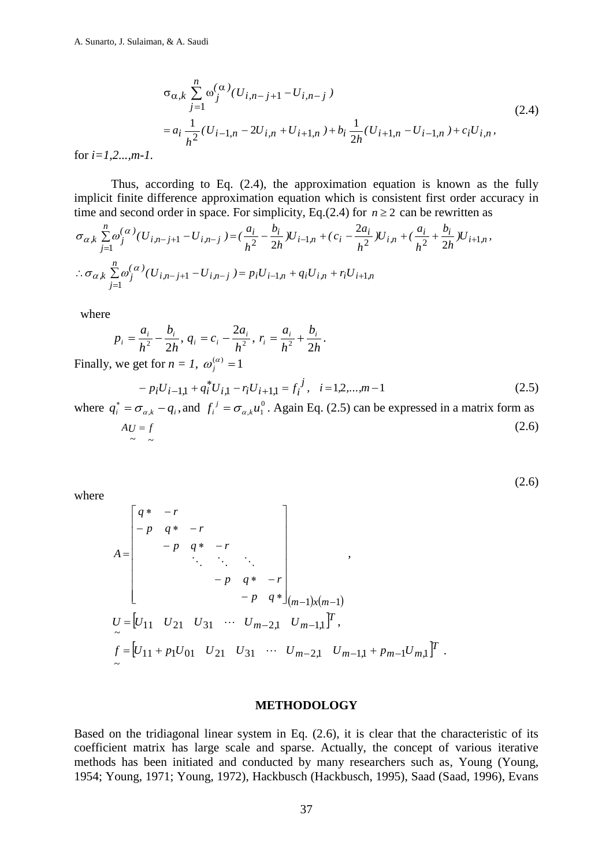$$
\sigma_{\alpha,k} \sum_{j=1}^{n} \omega_j^{(\alpha)}(U_{i,n-j+1} - U_{i,n-j})
$$
\n
$$
= a_i \frac{1}{h^2} (U_{i-1,n} - 2U_{i,n} + U_{i+1,n}) + b_i \frac{1}{2h} (U_{i+1,n} - U_{i-1,n}) + c_i U_{i,n},
$$
\n(2.4)

for *i=1,2...,m-1.*

Thus, according to Eq. (2.4), the approximation equation is known as the fully implicit finite difference approximation equation which is consistent first order accuracy in time and second order in space. For simplicity, Eq.(2.4) for  $n \ge 2$  can be rewritten as

$$
\sigma_{\alpha,k} \sum_{j=1}^{n} \omega_j^{(\alpha)}(U_{i,n-j+1} - U_{i,n-j}) = \left(\frac{a_i}{h^2} - \frac{b_i}{2h}U_{i-1,n} + \left(c_i - \frac{2a_i}{h^2}U_{i,n} + \left(\frac{a_i}{h^2} + \frac{b_i}{2h}U_{i+1,n}\right)\right)\right)
$$
  
 
$$
\therefore \sigma_{\alpha,k} \sum_{j=1}^{n} \omega_j^{(\alpha)}(U_{i,n-j+1} - U_{i,n-j}) = p_i U_{i-1,n} + q_i U_{i,n} + r_i U_{i+1,n}
$$

where

$$
p_i = \frac{a_i}{h^2} - \frac{b_i}{2h}, \, q_i = c_i - \frac{2a_i}{h^2}, \, r_i = \frac{a_i}{h^2} + \frac{b_i}{2h}.
$$

Finally, we get for  $n = 1$ ,  $\omega_j^{(\alpha)} = 1$ 

$$
- p_i U_{i-1,1} + q_i^* U_{i,1} - r_i U_{i+1,1} = f_i^j, \quad i = 1, 2, \dots, m-1
$$
\n(2.5)

(2.6)

where  $q_i^* = \sigma_{\alpha,k} - q_i$ , and  $f_i^j = \sigma_{\alpha,k} u_1^0$  $f_i^j = \sigma_{\alpha,k} u_1^0$ *j*  $\sum_{i}^{i} = \sigma_{\alpha,k} u_1^0$ . Again Eq. (2.5) can be expressed in a matrix form as  $AU = f$  $\sim$  ~  $(2.6)$ 

where

$$
A = \begin{bmatrix} q^* & -r & & & \\ -p & q^* & -r & & \\ & -p & q^* & -r & \\ & & \ddots & \ddots & \ddots & \\ & & & -p & q^* & -r \\ & & & & -p & q^* \end{bmatrix}_{(m-1)x(m-1)},
$$
  
\n
$$
U = [U_{11} \quad U_{21} \quad U_{31} \quad \cdots \quad U_{m-2,1} \quad U_{m-1,1}]^T,
$$
  
\n
$$
f = [U_{11} + p_1 U_{01} \quad U_{21} \quad U_{31} \quad \cdots \quad U_{m-2,1} \quad U_{m-1,1} + p_{m-1} U_{m,1}]^T.
$$

## **METHODOLOGY**

Based on the tridiagonal linear system in Eq. (2.6), it is clear that the characteristic of its coefficient matrix has large scale and sparse. Actually, the concept of various iterative methods has been initiated and conducted by many researchers such as, Young (Young, 1954; Young, 1971; Young, 1972), Hackbusch (Hackbusch, 1995), Saad (Saad, 1996), Evans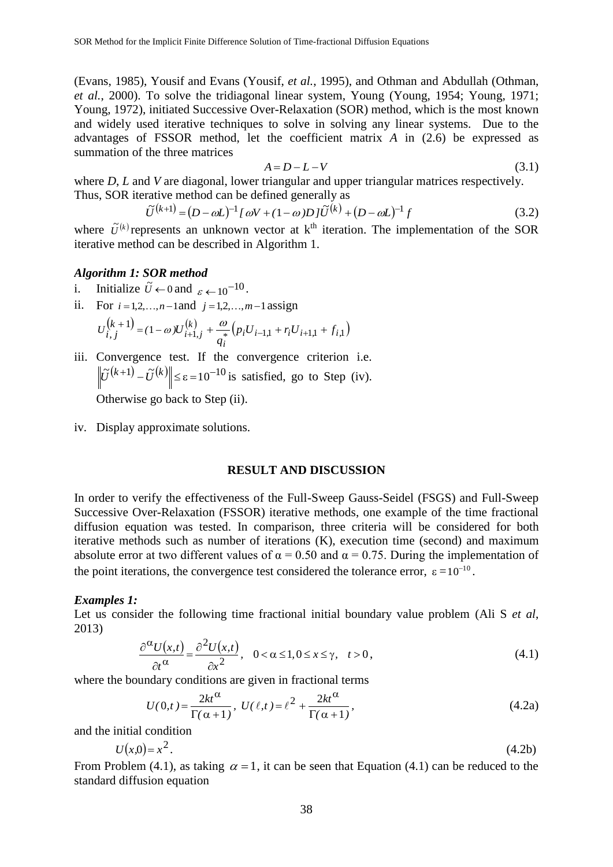(Evans, 1985), Yousif and Evans (Yousif, *et al.*, 1995), and Othman and Abdullah (Othman, *et al.*, 2000). To solve the tridiagonal linear system, Young (Young, 1954; Young, 1971; Young, 1972), initiated Successive Over-Relaxation (SOR) method, which is the most known and widely used iterative techniques to solve in solving any linear systems. Due to the advantages of FSSOR method, let the coefficient matrix *A* in (2.6) be expressed as summation of the three matrices

$$
A = D - L - V \tag{3.1}
$$

where *D*, *L* and *V* are diagonal, lower triangular and upper triangular matrices respectively. Thus, SOR iterative method can be defined generally as

$$
\tilde{U}^{(k+1)} = (D - \omega L)^{-1} [\omega V + (1 - \omega) D] \tilde{U}^{(k)} + (D - \omega L)^{-1} f \tag{3.2}
$$

where  $\tilde{U}^{(k)}$  represents an unknown vector at k<sup>th</sup> iteration. The implementation of the SOR iterative method can be described in Algorithm 1.

## *Algorithm 1: SOR method*

- i. Initialize  $\tilde{U} \leftarrow 0$  and  $\varepsilon \leftarrow 10^{-10}$ .
- ii. For  $i = 1,2,...,n-1$  and  $j = 1,2,...,m-1$  assign

$$
U_{i,j}^{(k+1)} = (1 - \omega)U_{i+1,j}^{(k)} + \frac{\omega}{q_i} (p_i U_{i-1,1} + r_i U_{i+1,1} + f_{i,1})
$$

iii. Convergence test. If the convergence criterion i.e.  $\|\tilde{U}^{(k+1)} - \tilde{U}^{(k)}\| \le \varepsilon = 10^{-10}$  is satisfied, go to Step (iv). Otherwise go back to Step (ii).

iv. Display approximate solutions.

# **RESULT AND DISCUSSION**

In order to verify the effectiveness of the Full-Sweep Gauss-Seidel (FSGS) and Full-Sweep Successive Over-Relaxation (FSSOR) iterative methods, one example of the time fractional diffusion equation was tested. In comparison, three criteria will be considered for both iterative methods such as number of iterations (K), execution time (second) and maximum absolute error at two different values of  $\alpha = 0.50$  and  $\alpha = 0.75$ . During the implementation of the point iterations, the convergence test considered the tolerance error,  $\varepsilon = 10^{-10}$ .

#### *Examples 1:*

Let us consider the following time fractional initial boundary value problem (Ali S *et al*, 2013)

$$
\frac{\partial^{\alpha} U(x,t)}{\partial t^{\alpha}} = \frac{\partial^2 U(x,t)}{\partial x^2}, \quad 0 < \alpha \le 1, 0 \le x \le \gamma, \quad t > 0,
$$
\n(4.1)

where the boundary conditions are given in fractional terms

$$
U(0,t) = \frac{2kt^{\alpha}}{\Gamma(\alpha+1)}, \ U(\ell,t) = \ell^2 + \frac{2kt^{\alpha}}{\Gamma(\alpha+1)},\tag{4.2a}
$$

and the initial condition

$$
U(x,0) = x^2.
$$
 (4.2b)

From Problem (4.1), as taking  $\alpha = 1$ , it can be seen that Equation (4.1) can be reduced to the standard diffusion equation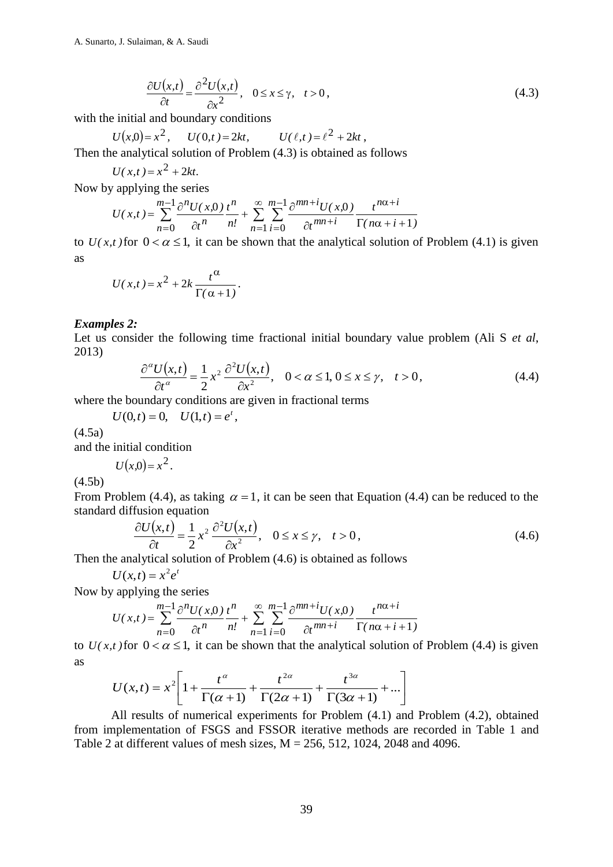$$
\frac{\partial U(x,t)}{\partial t} = \frac{\partial^2 U(x,t)}{\partial x^2}, \quad 0 \le x \le \gamma, \quad t > 0,
$$
\n(4.3)

with the initial and boundary conditions

 $U(x,0) = x^2$ ,  $U(0,t) = 2kt$ ,  $U(\ell,t) = \ell^2 + 2kt$ ,

Then the analytical solution of Problem (4.3) is obtained as follows

$$
U(x,t) = x^2 + 2kt.
$$

Now by applying the series

$$
U(x,t) = \sum_{n=0}^{m-1} \frac{\partial^n U(x,0)}{\partial t^n} \frac{t^n}{n!} + \sum_{n=1}^{\infty} \sum_{i=0}^{m-1} \frac{\partial^{mn+i} U(x,0)}{\partial t^{mn+i}} \frac{t^{n\alpha+i}}{\Gamma(n\alpha+i+1)}
$$

to  $U(x,t)$  for  $0 < \alpha \leq 1$ , it can be shown that the analytical solution of Problem (4.1) is given as

$$
U(x,t) = x^2 + 2k \frac{t^{\alpha}}{\Gamma(\alpha+1)}.
$$

## *Examples 2:*

Let us consider the following time fractional initial boundary value problem (Ali S *et al*, 2013)

$$
\frac{\partial^{\alpha} U(x,t)}{\partial t^{\alpha}} = \frac{1}{2} x^{2} \frac{\partial^{2} U(x,t)}{\partial x^{2}}, \quad 0 < \alpha \le 1, 0 \le x \le \gamma, \quad t > 0,
$$
\n(4.4)

where the boundary conditions are given in fractional terms

$$
U(0,t) = 0, \quad U(1,t) = e^t,
$$

(4.5a)

and the initial condition

 $U(x,0) = x^2$ .

 $(4.5h)$ 

From Problem (4.4), as taking  $\alpha = 1$ , it can be seen that Equation (4.4) can be reduced to the standard diffusion equation

$$
\frac{\partial U(x,t)}{\partial t} = \frac{1}{2} x^2 \frac{\partial^2 U(x,t)}{\partial x^2}, \quad 0 \le x \le \gamma, \quad t > 0,
$$
\n(4.6)

Then the analytical solution of Problem (4.6) is obtained as follows

$$
U(x,t) = x^2 e^t
$$

Now by applying the series

$$
U(x,t) = \sum_{n=0}^{m-1} \frac{\partial^n U(x,0)}{\partial t^n} \frac{t^n}{n!} + \sum_{n=1}^{\infty} \sum_{i=0}^{m-1} \frac{\partial^{mn+i} U(x,0)}{\partial t^{mn+i}} \frac{t^{n\alpha+i}}{\Gamma(n\alpha+i+1)}
$$

to  $U(x,t)$  for  $0 < \alpha \le 1$ , it can be shown that the analytical solution of Problem (4.4) is given as

$$
U(x,t) = x^2 \left[ 1 + \frac{t^{\alpha}}{\Gamma(\alpha+1)} + \frac{t^{2\alpha}}{\Gamma(2\alpha+1)} + \frac{t^{3\alpha}}{\Gamma(3\alpha+1)} + \dots \right]
$$

 $\left(\frac{x,t}{2}\right) = \frac{\partial^2 U(x,t)}{\partial x^2}$ ,  $0 \le x \le \gamma$ , t:<br>
d boundary conditions<br>  $2, U(0,t) = 2kt$ ,  $U(\ell, t)$ <br>
al solution of Problem (4.3) is<br>  $2 + 2kt$ .<br>
the series<br>  $\frac{1}{2} + 2kt$ .<br>  $\frac{1}{2}e^{-2t}U(x,0) \frac{t^n}{n!} + \sum_{n=1}^{\infty} \sum_{i=0}^{n-1} \frac$ All results of numerical experiments for Problem (4.1) and Problem (4.2), obtained from implementation of FSGS and FSSOR iterative methods are recorded in Table 1 and Table 2 at different values of mesh sizes,  $M = 256, 512, 1024, 2048$  and 4096.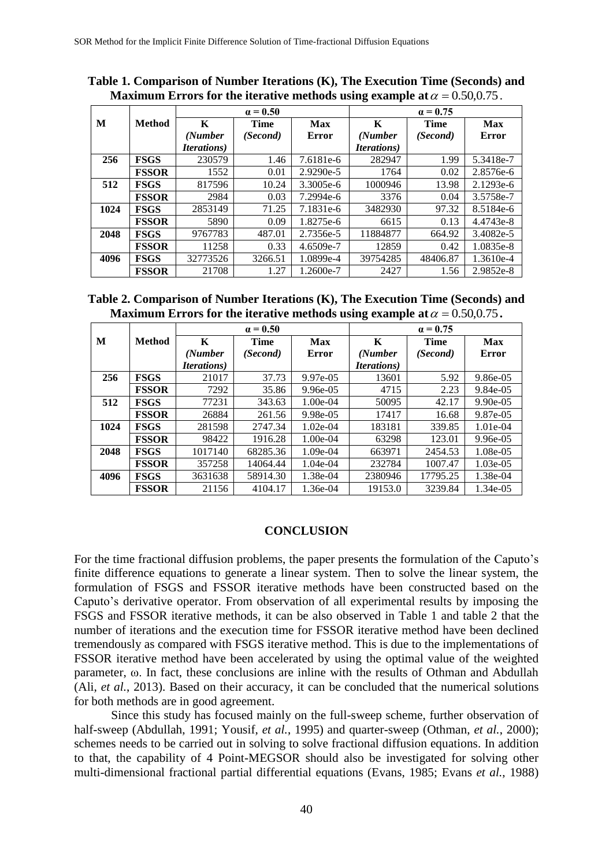|      |               | $\alpha = 0.50$     |             |             | $\alpha = 0.75$     |          |           |
|------|---------------|---------------------|-------------|-------------|---------------------|----------|-----------|
| M    | <b>Method</b> | K                   | <b>Time</b> | <b>Max</b>  | K                   | Time     | Max       |
|      |               | (Number             | (Second)    | Error       | (Number             | (Second) | Error     |
|      |               | <i>Iterations</i> ) |             |             | <i>Iterations</i> ) |          |           |
| 256  | <b>FSGS</b>   | 230579              | 1.46        | 7.6181e-6   | 282947              | 1.99     | 5.3418e-7 |
|      | <b>FSSOR</b>  | 1552                | 0.01        | $2.9290e-5$ | 1764                | 0.02     | 2.8576e-6 |
| 512  | <b>FSGS</b>   | 817596              | 10.24       | 3.3005e-6   | 1000946             | 13.98    | 2.1293e-6 |
|      | <b>FSSOR</b>  | 2984                | 0.03        | 7.2994e-6   | 3376                | 0.04     | 3.5758e-7 |
| 1024 | <b>FSGS</b>   | 2853149             | 71.25       | 7.1831e-6   | 3482930             | 97.32    | 8.5184e-6 |
|      | <b>FSSOR</b>  | 5890                | 0.09        | 1.8275e-6   | 6615                | 0.13     | 4.4743e-8 |
| 2048 | <b>FSGS</b>   | 9767783             | 487.01      | 2.7356e-5   | 11884877            | 664.92   | 3.4082e-5 |
|      | <b>FSSOR</b>  | 11258               | 0.33        | 4.6509e-7   | 12859               | 0.42     | 1.0835e-8 |
| 4096 | <b>FSGS</b>   | 32773526            | 3266.51     | 1.0899e-4   | 39754285            | 48406.87 | 1.3610e-4 |
|      | <b>FSSOR</b>  | 21708               | 1.27        | 1.2600e-7   | 2427                | 1.56     | 2.9852e-8 |

**Table 1. Comparison of Number Iterations (K), The Execution Time (Seconds) and Maximum Errors for the iterative methods using example at**  $\alpha = 0.50, 0.75$ .

| Table 2. Comparison of Number Iterations (K), The Execution Time (Seconds) and    |  |
|-----------------------------------------------------------------------------------|--|
| Maximum Errors for the iterative methods using example at $\alpha = 0.50, 0.75$ . |  |

|      |              |                     | $\alpha = 0.50$ |              | $\alpha = 0.75$     |             |          |
|------|--------------|---------------------|-----------------|--------------|---------------------|-------------|----------|
| M    | Method       | K                   | Time            | Max          | K                   | <b>Time</b> | Max      |
|      |              | (Number             | (Second)        | <b>Error</b> | (Number             | (Second)    | Error    |
|      |              | <i>Iterations</i> ) |                 |              | <i>Iterations</i> ) |             |          |
| 256  | <b>FSGS</b>  | 21017               | 37.73           | 9.97e-05     | 13601               | 5.92        | 9.86e-05 |
|      | <b>FSSOR</b> | 7292                | 35.86           | $9.96e-05$   | 4715                | 2.23        | 9.84e-05 |
| 512  | <b>FSGS</b>  | 77231               | 343.63          | 1.00e-04     | 50095               | 42.17       | 9.90e-05 |
|      | <b>FSSOR</b> | 26884               | 261.56          | $9.98e-0.5$  | 17417               | 16.68       | 9.87e-05 |
| 1024 | <b>FSGS</b>  | 281598              | 2747.34         | $1.02e-04$   | 183181              | 339.85      | 1.01e-04 |
|      | <b>FSSOR</b> | 98422               | 1916.28         | 1.00e-04     | 63298               | 123.01      | 9.96e-05 |
| 2048 | <b>FSGS</b>  | 1017140             | 68285.36        | 1.09e-04     | 663971              | 2454.53     | 1.08e-05 |
|      | <b>FSSOR</b> | 357258              | 14064.44        | $1.04e-04$   | 232784              | 1007.47     | 1.03e-05 |
| 4096 | <b>FSGS</b>  | 3631638             | 58914.30        | 1.38e-04     | 2380946             | 17795.25    | 1.38e-04 |
|      | <b>FSSOR</b> | 21156               | 4104.17         | 1.36e-04     | 19153.0             | 3239.84     | 1.34e-05 |

## **CONCLUSION**

For the time fractional diffusion problems, the paper presents the formulation of the Caputo's finite difference equations to generate a linear system. Then to solve the linear system, the formulation of FSGS and FSSOR iterative methods have been constructed based on the Caputo's derivative operator. From observation of all experimental results by imposing the FSGS and FSSOR iterative methods, it can be also observed in Table 1 and table 2 that the number of iterations and the execution time for FSSOR iterative method have been declined tremendously as compared with FSGS iterative method. This is due to the implementations of FSSOR iterative method have been accelerated by using the optimal value of the weighted parameter, ω. In fact, these conclusions are inline with the results of Othman and Abdullah (Ali, *et al.*, 2013). Based on their accuracy, it can be concluded that the numerical solutions for both methods are in good agreement.

Since this study has focused mainly on the full-sweep scheme, further observation of half-sweep (Abdullah, 1991; Yousif, *et al.*, 1995) and quarter-sweep (Othman, *et al.*, 2000); schemes needs to be carried out in solving to solve fractional diffusion equations. In addition to that, the capability of 4 Point-MEGSOR should also be investigated for solving other multi-dimensional fractional partial differential equations (Evans, 1985; Evans *et al.*, 1988)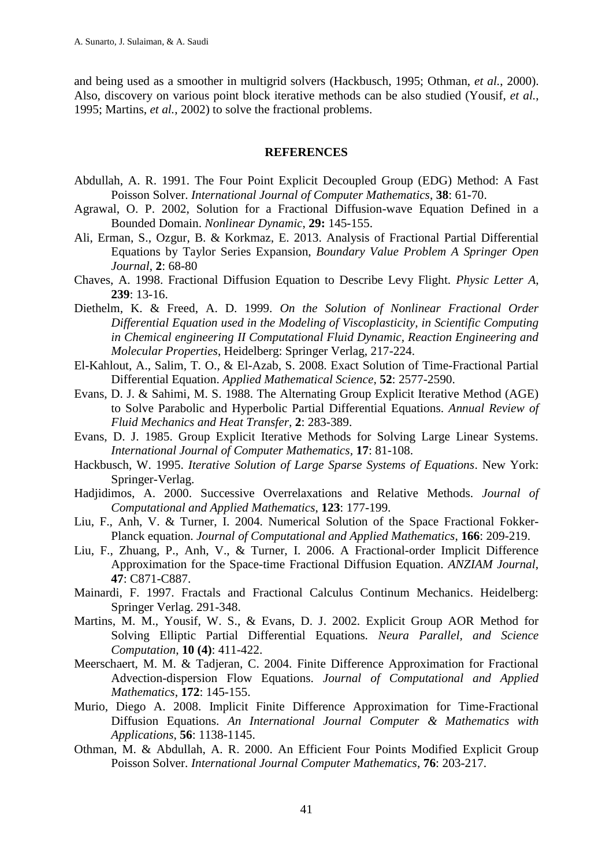and being used as a smoother in multigrid solvers (Hackbusch, 1995; Othman, *et al.*, 2000). Also, discovery on various point block iterative methods can be also studied (Yousif, *et al.*, 1995; Martins, *et al.*, 2002) to solve the fractional problems.

# **REFERENCES**

- Abdullah, A. R. 1991. The Four Point Explicit Decoupled Group (EDG) Method: A Fast Poisson Solver. *International Journal of Computer Mathematics*, **38**: 61-70.
- Agrawal, O. P. 2002, Solution for a Fractional Diffusion-wave Equation Defined in a Bounded Domain. *Nonlinear Dynamic*, **29:** 145-155.
- Ali, Erman, S., Ozgur, B. & Korkmaz, E. 2013. Analysis of Fractional Partial Differential Equations by Taylor Series Expansion, *Boundary Value Problem A Springer Open Journal*, **2**: 68-80
- Chaves, A. 1998. Fractional Diffusion Equation to Describe Levy Flight. *Physic Letter A*, **239**: 13-16.
- Diethelm, K. & Freed, A. D. 1999. *On the Solution of Nonlinear Fractional Order Differential Equation used in the Modeling of Viscoplasticity, in Scientific Computing in Chemical engineering II Computational Fluid Dynamic, Reaction Engineering and Molecular Properties*, Heidelberg: Springer Verlag, 217-224.
- El-Kahlout, A., Salim, T. O., & El-Azab, S. 2008. Exact Solution of Time-Fractional Partial Differential Equation. *Applied Mathematical Science*, **52**: 2577-2590.
- Evans, D. J. & Sahimi, M. S. 1988. The Alternating Group Explicit Iterative Method (AGE) to Solve Parabolic and Hyperbolic Partial Differential Equations. *Annual Review of Fluid Mechanics and Heat Transfer,* **2**: 283-389.
- Evans, D. J. 1985. Group Explicit Iterative Methods for Solving Large Linear Systems. *International Journal of Computer Mathematics,* **17**: 81-108.
- Hackbusch, W. 1995. *Iterative Solution of Large Sparse Systems of Equations*. New York: Springer-Verlag.
- Hadjidimos, A. 2000. Successive Overrelaxations and Relative Methods. *Journal of Computational and Applied Mathematics*, **123**: 177-199.
- Liu, F., Anh, V. & Turner, I. 2004. Numerical Solution of the Space Fractional Fokker-Planck equation. *Journal of Computational and Applied Mathematics*, **166**: 209-219.
- Liu, F., Zhuang, P., Anh, V., & Turner, I. 2006. A Fractional-order Implicit Difference Approximation for the Space-time Fractional Diffusion Equation. *ANZIAM Journal*, **47**: C871-C887.
- Mainardi, F. 1997. Fractals and Fractional Calculus Continum Mechanics. Heidelberg: Springer Verlag. 291-348.
- Martins, M. M., Yousif, W. S., & Evans, D. J. 2002. Explicit Group AOR Method for Solving Elliptic Partial Differential Equations*. Neura Parallel, and Science Computation*, **10 (4)**: 411-422.
- Meerschaert, M. M. & Tadjeran, C. 2004. Finite Difference Approximation for Fractional Advection-dispersion Flow Equations. *Journal of Computational and Applied Mathematics*, **172**: 145-155.
- Murio, Diego A. 2008. Implicit Finite Difference Approximation for Time-Fractional Diffusion Equations. *An International Journal Computer & Mathematics with Applications*, **56**: 1138-1145.
- Othman, M. & Abdullah, A. R. 2000. An Efficient Four Points Modified Explicit Group Poisson Solver. *International Journal Computer Mathematics*, **76**: 203-217.